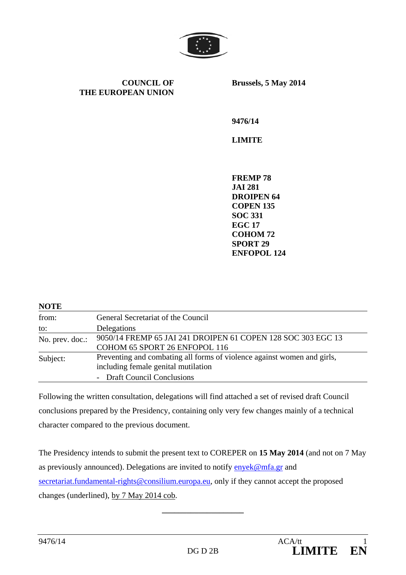

**COUNCIL OF THE EUROPEAN UNION** **Brussels, 5 May 2014** 

**9476/14** 

**LIMITE** 

**FREMP 78 JAI 281 DROIPEN 64 COPEN 135 SOC 331 EGC 17 COHOM 72 SPORT 29 ENFOPOL 124** 

| <b>NOTE</b>     |                                                                         |
|-----------------|-------------------------------------------------------------------------|
| from:           | General Secretariat of the Council                                      |
| to:             | Delegations                                                             |
| No. prev. doc.: | 9050/14 FREMP 65 JAI 241 DROIPEN 61 COPEN 128 SOC 303 EGC 13            |
|                 | COHOM 65 SPORT 26 ENFOPOL 116                                           |
| Subject:        | Preventing and combating all forms of violence against women and girls, |
|                 | including female genital mutilation                                     |
|                 | - Draft Council Conclusions                                             |

Following the written consultation, delegations will find attached a set of revised draft Council conclusions prepared by the Presidency, containing only very few changes mainly of a technical character compared to the previous document.

The Presidency intends to submit the present text to COREPER on **15 May 2014** (and not on 7 May as previously announced). Delegations are invited to notify enyek@mfa.gr and secretariat.fundamental-rights@consilium.europa.eu, only if they cannot accept the proposed changes (underlined), by 7 May 2014 cob.

**\_\_\_\_\_\_\_\_\_\_\_\_\_\_\_\_\_\_\_\_**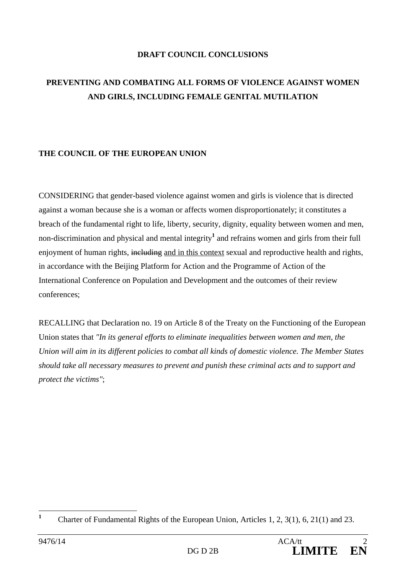### **DRAFT COUNCIL CONCLUSIONS**

# **PREVENTING AND COMBATING ALL FORMS OF VIOLENCE AGAINST WOMEN AND GIRLS, INCLUDING FEMALE GENITAL MUTILATION**

# **THE COUNCIL OF THE EUROPEAN UNION**

CONSIDERING that gender-based violence against women and girls is violence that is directed against a woman because she is a woman or affects women disproportionately; it constitutes a breach of the fundamental right to life, liberty, security, dignity, equality between women and men, non-discrimination and physical and mental integrity**<sup>1</sup>** and refrains women and girls from their full enjoyment of human rights, including and in this context sexual and reproductive health and rights, in accordance with the Beijing Platform for Action and the Programme of Action of the International Conference on Population and Development and the outcomes of their review conferences;

RECALLING that Declaration no. 19 on Article 8 of the Treaty on the Functioning of the European Union states that *"In its general efforts to eliminate inequalities between women and men, the Union will aim in its different policies to combat all kinds of domestic violence. The Member States should take all necessary measures to prevent and punish these criminal acts and to support and protect the victims"*;

 **1** Charter of Fundamental Rights of the European Union, Articles 1, 2, 3(1), 6, 21(1) and 23.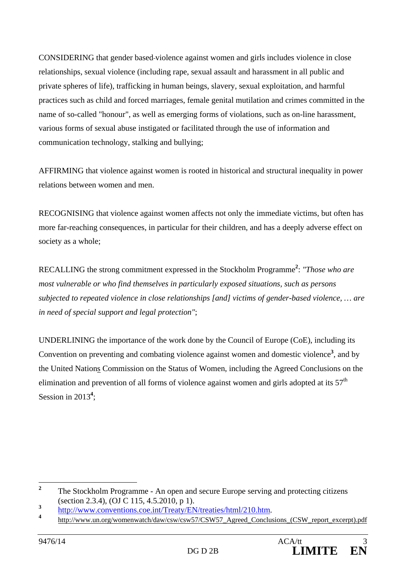CONSIDERING that gender based violence against women and girls includes violence in close relationships, sexual violence (including rape, sexual assault and harassment in all public and private spheres of life), trafficking in human beings, slavery, sexual exploitation, and harmful practices such as child and forced marriages, female genital mutilation and crimes committed in the name of so-called "honour", as well as emerging forms of violations, such as on-line harassment, various forms of sexual abuse instigated or facilitated through the use of information and communication technology, stalking and bullying;

AFFIRMING that violence against women is rooted in historical and structural inequality in power relations between women and men.

RECOGNISING that violence against women affects not only the immediate victims, but often has more far-reaching consequences, in particular for their children, and has a deeply adverse effect on society as a whole;

RECALLING the strong commitment expressed in the Stockholm Programme**<sup>2</sup>** : *"Those who are most vulnerable or who find themselves in particularly exposed situations, such as persons subjected to repeated violence in close relationships [and] victims of gender-based violence, … are in need of special support and legal protection"*;

UNDERLINING the importance of the work done by the Council of Europe (CoE), including its Convention on preventing and combating violence against women and domestic violence**<sup>3</sup>** , and by the United Nations Commission on the Status of Women, including the Agreed Conclusions on the elimination and prevention of all forms of violence against women and girls adopted at its  $57<sup>th</sup>$ Session in 2013<sup>4</sup>;

 **2** The Stockholm Programme - An open and secure Europe serving and protecting citizens (section 2.3.4), (OJ C 115, 4.5.2010, p 1).

**<sup>3</sup>**

http://www.conventions.coe.int/Treaty/EN/treaties/html/210.htm.<br> **4** http://www.un.org/womenwatch/daw/csw/csw57/CSW57\_Agreed\_Conclusions (CSW\_report\_excerpt).pdf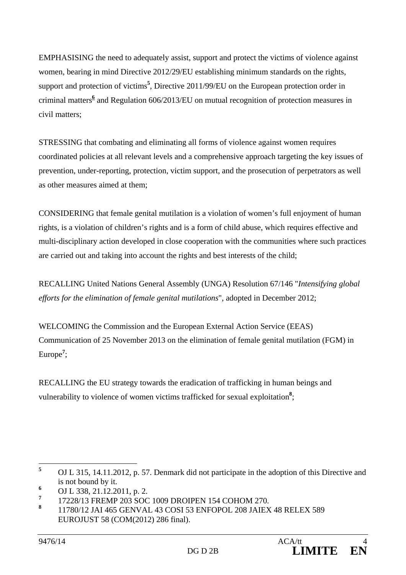EMPHASISING the need to adequately assist, support and protect the victims of violence against women, bearing in mind Directive 2012/29/EU establishing minimum standards on the rights, support and protection of victims**<sup>5</sup>** , Directive 2011/99/EU on the European protection order in criminal matters**<sup>6</sup>** and Regulation 606/2013/EU on mutual recognition of protection measures in civil matters;

STRESSING that combating and eliminating all forms of violence against women requires coordinated policies at all relevant levels and a comprehensive approach targeting the key issues of prevention, under-reporting, protection, victim support, and the prosecution of perpetrators as well as other measures aimed at them;

CONSIDERING that female genital mutilation is a violation of women's full enjoyment of human rights, is a violation of children's rights and is a form of child abuse, which requires effective and multi-disciplinary action developed in close cooperation with the communities where such practices are carried out and taking into account the rights and best interests of the child;

RECALLING United Nations General Assembly (UNGA) Resolution 67/146 "*Intensifying global efforts for the elimination of female genital mutilations*", adopted in December 2012;

WELCOMING the Commission and the European External Action Service (EEAS) Communication of 25 November 2013 on the elimination of female genital mutilation (FGM) in Europe**<sup>7</sup>** ;

RECALLING the EU strategy towards the eradication of trafficking in human beings and vulnerability to violence of women victims trafficked for sexual exploitation<sup>8</sup>;

 **5** OJ L 315, 14.11.2012, p. 57. Denmark did not participate in the adoption of this Directive and is not bound by it.

**<sup>6</sup>** OJ L 338, 21.12.2011, p. 2.

**<sup>7</sup>** 17228/13 FREMP 203 SOC 1009 DROIPEN 154 COHOM 270.

**<sup>8</sup>** 11780/12 JAI 465 GENVAL 43 COSI 53 ENFOPOL 208 JAIEX 48 RELEX 589 EUROJUST 58 (COM(2012) 286 final).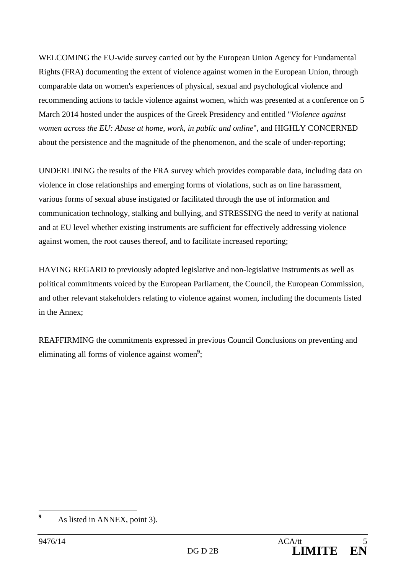WELCOMING the EU-wide survey carried out by the European Union Agency for Fundamental Rights (FRA) documenting the extent of violence against women in the European Union, through comparable data on women's experiences of physical, sexual and psychological violence and recommending actions to tackle violence against women, which was presented at a conference on 5 March 2014 hosted under the auspices of the Greek Presidency and entitled "*Violence against women across the EU: Abuse at home, work, in public and online*", and HIGHLY CONCERNED about the persistence and the magnitude of the phenomenon, and the scale of under-reporting;

UNDERLINING the results of the FRA survey which provides comparable data, including data on violence in close relationships and emerging forms of violations, such as on line harassment, various forms of sexual abuse instigated or facilitated through the use of information and communication technology, stalking and bullying, and STRESSING the need to verify at national and at EU level whether existing instruments are sufficient for effectively addressing violence against women, the root causes thereof, and to facilitate increased reporting;

HAVING REGARD to previously adopted legislative and non-legislative instruments as well as political commitments voiced by the European Parliament, the Council, the European Commission, and other relevant stakeholders relating to violence against women, including the documents listed in the Annex;

REAFFIRMING the commitments expressed in previous Council Conclusions on preventing and eliminating all forms of violence against women<sup>9</sup>;

 **9** As listed in ANNEX, point 3).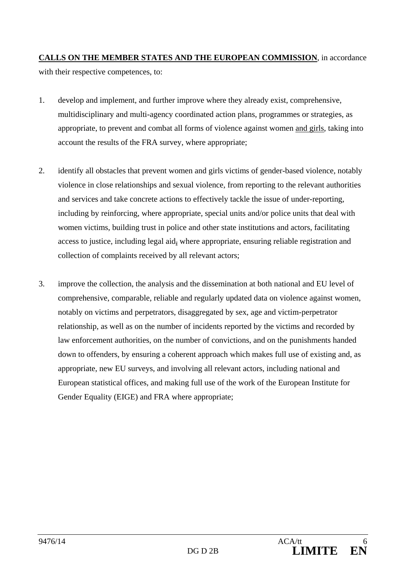# **CALLS ON THE MEMBER STATES AND THE EUROPEAN COMMISSION**, in accordance with their respective competences, to:

- 1. develop and implement, and further improve where they already exist, comprehensive, multidisciplinary and multi-agency coordinated action plans, programmes or strategies, as appropriate, to prevent and combat all forms of violence against women and girls, taking into account the results of the FRA survey, where appropriate;
- 2. identify all obstacles that prevent women and girls victims of gender-based violence, notably violence in close relationships and sexual violence, from reporting to the relevant authorities and services and take concrete actions to effectively tackle the issue of under-reporting, including by reinforcing, where appropriate, special units and/or police units that deal with women victims, building trust in police and other state institutions and actors, facilitating access to justice, including legal aid, where appropriate, ensuring reliable registration and collection of complaints received by all relevant actors;
- 3. improve the collection, the analysis and the dissemination at both national and EU level of comprehensive, comparable, reliable and regularly updated data on violence against women, notably on victims and perpetrators, disaggregated by sex, age and victim-perpetrator relationship, as well as on the number of incidents reported by the victims and recorded by law enforcement authorities, on the number of convictions, and on the punishments handed down to offenders, by ensuring a coherent approach which makes full use of existing and, as appropriate, new EU surveys, and involving all relevant actors, including national and European statistical offices, and making full use of the work of the European Institute for Gender Equality (EIGE) and FRA where appropriate;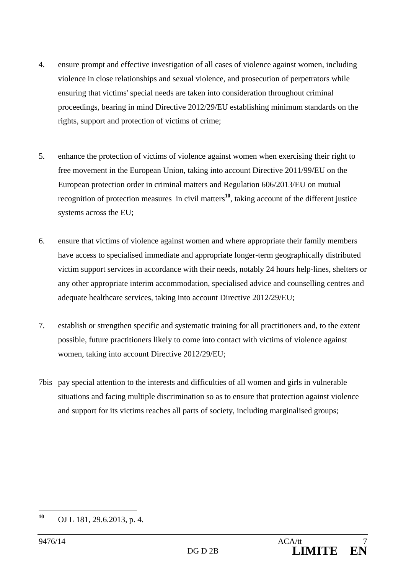- 4. ensure prompt and effective investigation of all cases of violence against women, including violence in close relationships and sexual violence, and prosecution of perpetrators while ensuring that victims' special needs are taken into consideration throughout criminal proceedings, bearing in mind Directive 2012/29/EU establishing minimum standards on the rights, support and protection of victims of crime;
- 5. enhance the protection of victims of violence against women when exercising their right to free movement in the European Union, taking into account Directive 2011/99/EU on the European protection order in criminal matters and Regulation 606/2013/EU on mutual recognition of protection measures in civil matters**<sup>10</sup>**, taking account of the different justice systems across the EU;
- 6. ensure that victims of violence against women and where appropriate their family members have access to specialised immediate and appropriate longer-term geographically distributed victim support services in accordance with their needs, notably 24 hours help-lines, shelters or any other appropriate interim accommodation, specialised advice and counselling centres and adequate healthcare services, taking into account Directive 2012/29/EU;
- 7. establish or strengthen specific and systematic training for all practitioners and, to the extent possible, future practitioners likely to come into contact with victims of violence against women, taking into account Directive 2012/29/EU;
- 7bis pay special attention to the interests and difficulties of all women and girls in vulnerable situations and facing multiple discrimination so as to ensure that protection against violence and support for its victims reaches all parts of society, including marginalised groups;

<sup>10</sup> **<sup>10</sup>** OJ L 181, 29.6.2013, p. 4.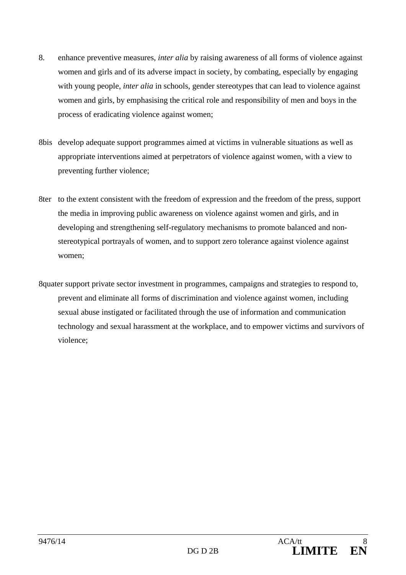- 8. enhance preventive measures, *inter alia* by raising awareness of all forms of violence against women and girls and of its adverse impact in society, by combating, especially by engaging with young people, *inter alia* in schools, gender stereotypes that can lead to violence against women and girls, by emphasising the critical role and responsibility of men and boys in the process of eradicating violence against women;
- 8bis develop adequate support programmes aimed at victims in vulnerable situations as well as appropriate interventions aimed at perpetrators of violence against women, with a view to preventing further violence;
- 8ter to the extent consistent with the freedom of expression and the freedom of the press, support the media in improving public awareness on violence against women and girls, and in developing and strengthening self-regulatory mechanisms to promote balanced and nonstereotypical portrayals of women, and to support zero tolerance against violence against women;
- 8quater support private sector investment in programmes, campaigns and strategies to respond to, prevent and eliminate all forms of discrimination and violence against women, including sexual abuse instigated or facilitated through the use of information and communication technology and sexual harassment at the workplace, and to empower victims and survivors of violence;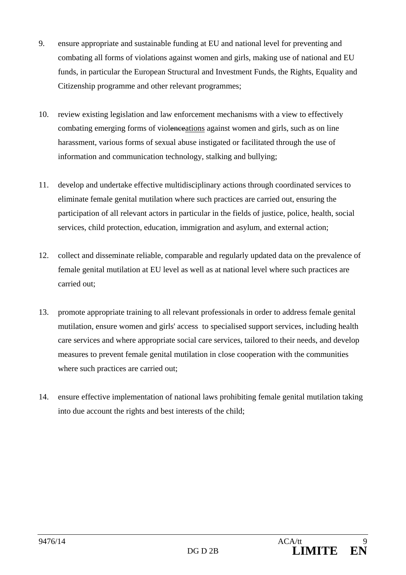- 9. ensure appropriate and sustainable funding at EU and national level for preventing and combating all forms of violations against women and girls, making use of national and EU funds, in particular the European Structural and Investment Funds, the Rights, Equality and Citizenship programme and other relevant programmes;
- 10. review existing legislation and law enforcement mechanisms with a view to effectively combating emerging forms of violenceations against women and girls, such as on line harassment, various forms of sexual abuse instigated or facilitated through the use of information and communication technology, stalking and bullying;
- 11. develop and undertake effective multidisciplinary actions through coordinated services to eliminate female genital mutilation where such practices are carried out, ensuring the participation of all relevant actors in particular in the fields of justice, police, health, social services, child protection, education, immigration and asylum, and external action;
- 12. collect and disseminate reliable, comparable and regularly updated data on the prevalence of female genital mutilation at EU level as well as at national level where such practices are carried out;
- 13. promote appropriate training to all relevant professionals in order to address female genital mutilation, ensure women and girls' access to specialised support services, including health care services and where appropriate social care services, tailored to their needs, and develop measures to prevent female genital mutilation in close cooperation with the communities where such practices are carried out;
- 14. ensure effective implementation of national laws prohibiting female genital mutilation taking into due account the rights and best interests of the child;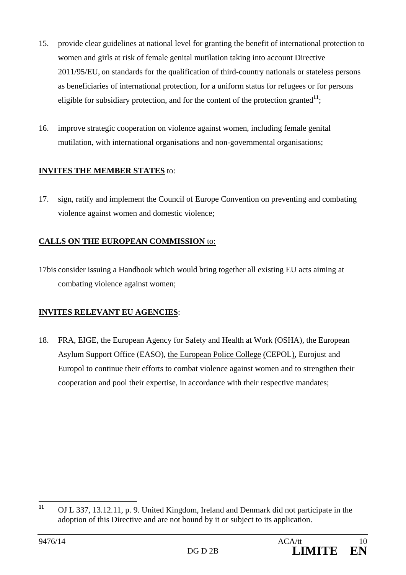- 15. provide clear guidelines at national level for granting the benefit of international protection to women and girls at risk of female genital mutilation taking into account Directive 2011/95/EU, on standards for the qualification of third-country nationals or stateless persons as beneficiaries of international protection, for a uniform status for refugees or for persons eligible for subsidiary protection, and for the content of the protection granted $\frac{11}{1}$ ;
- 16. improve strategic cooperation on violence against women, including female genital mutilation, with international organisations and non-governmental organisations;

## **INVITES THE MEMBER STATES** to:

17. sign, ratify and implement the Council of Europe Convention on preventing and combating violence against women and domestic violence;

## **CALLS ON THE EUROPEAN COMMISSION** to:

17bis consider issuing a Handbook which would bring together all existing EU acts aiming at combating violence against women;

# **INVITES RELEVANT EU AGENCIES**:

18. FRA, EIGE, the European Agency for Safety and Health at Work (OSHA), the European Asylum Support Office (EASO), the European Police College (CEPOL), Eurojust and Europol to continue their efforts to combat violence against women and to strengthen their cooperation and pool their expertise, in accordance with their respective mandates;

 $11$ **<sup>11</sup>** OJ L 337, 13.12.11, p. 9. United Kingdom, Ireland and Denmark did not participate in the adoption of this Directive and are not bound by it or subject to its application.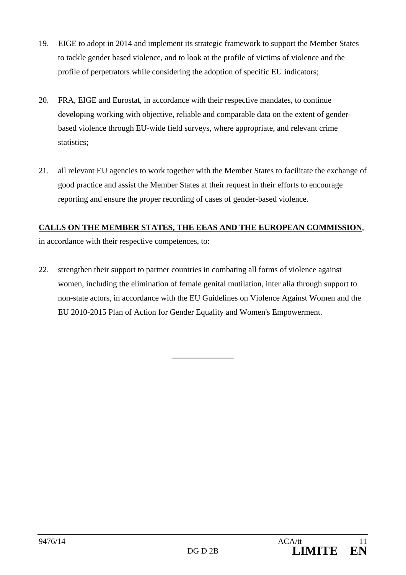- 19. EIGE to adopt in 2014 and implement its strategic framework to support the Member States to tackle gender based violence, and to look at the profile of victims of violence and the profile of perpetrators while considering the adoption of specific EU indicators;
- 20. FRA, EIGE and Eurostat, in accordance with their respective mandates, to continue developing working with objective, reliable and comparable data on the extent of genderbased violence through EU-wide field surveys, where appropriate, and relevant crime statistics;
- 21. all relevant EU agencies to work together with the Member States to facilitate the exchange of good practice and assist the Member States at their request in their efforts to encourage reporting and ensure the proper recording of cases of gender-based violence.

## **CALLS ON THE MEMBER STATES, THE EEAS AND THE EUROPEAN COMMISSION**,

in accordance with their respective competences, to:

22. strengthen their support to partner countries in combating all forms of violence against women, including the elimination of female genital mutilation, inter alia through support to non-state actors, in accordance with the EU Guidelines on Violence Against Women and the EU 2010-2015 Plan of Action for Gender Equality and Women's Empowerment.

**\_\_\_\_\_\_\_\_\_\_\_\_\_\_\_**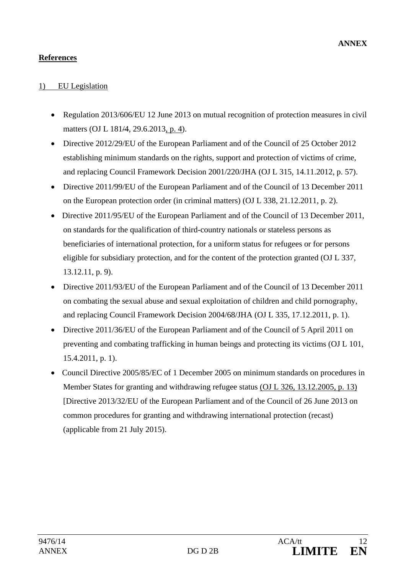# **References**

### 1) EU Legislation

- Regulation 2013/606/EU 12 June 2013 on mutual recognition of protection measures in civil matters (OJ L 181/4, 29.6.2013, p. 4).
- Directive 2012/29/EU of the European Parliament and of the Council of 25 October 2012 establishing minimum standards on the rights, support and protection of victims of crime, and replacing Council Framework Decision 2001/220/JHA (OJ L 315, 14.11.2012, p. 57).
- Directive 2011/99/EU of the European Parliament and of the Council of 13 December 2011 on the European protection order (in criminal matters) (OJ L 338, 21.12.2011, p. 2).
- Directive 2011/95/EU of the European Parliament and of the Council of 13 December 2011. on standards for the qualification of third-country nationals or stateless persons as beneficiaries of international protection, for a uniform status for refugees or for persons eligible for subsidiary protection, and for the content of the protection granted (OJ L 337, 13.12.11, p. 9).
- Directive 2011/93/EU of the European Parliament and of the Council of 13 December 2011 on combating the sexual abuse and sexual exploitation of children and child pornography, and replacing Council Framework Decision 2004/68/JHA (OJ L 335, 17.12.2011, p. 1).
- Directive 2011/36/EU of the European Parliament and of the Council of 5 April 2011 on preventing and combating trafficking in human beings and protecting its victims (OJ L 101, 15.4.2011, p. 1).
- Council Directive 2005/85/EC of 1 December 2005 on minimum standards on procedures in Member States for granting and withdrawing refugee status (OJ L 326, 13.12.2005, p. 13) [Directive 2013/32/EU of the European Parliament and of the Council of 26 June 2013 on common procedures for granting and withdrawing international protection (recast) (applicable from 21 July 2015).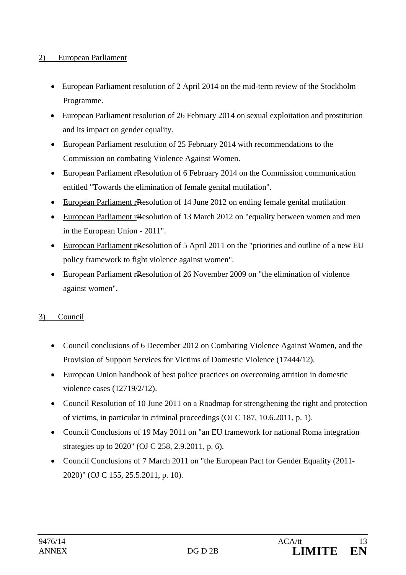#### 2) European Parliament

- European Parliament resolution of 2 April 2014 on the mid-term review of the Stockholm Programme.
- European Parliament resolution of 26 February 2014 on sexual exploitation and prostitution and its impact on gender equality.
- European Parliament resolution of 25 February 2014 with recommendations to the Commission on combating Violence Against Women.
- European Parliament rResolution of 6 February 2014 on the Commission communication entitled "Towards the elimination of female genital mutilation".
- European Parliament rResolution of 14 June 2012 on ending female genital mutilation
- European Parliament rResolution of 13 March 2012 on "equality between women and men in the European Union - 2011".
- European Parliament rResolution of 5 April 2011 on the "priorities and outline of a new EU policy framework to fight violence against women".
- European Parliament rResolution of 26 November 2009 on "the elimination of violence against women".

#### 3) Council

- Council conclusions of 6 December 2012 on Combating Violence Against Women, and the Provision of Support Services for Victims of Domestic Violence (17444/12).
- European Union handbook of best police practices on overcoming attrition in domestic violence cases (12719/2/12).
- Council Resolution of 10 June 2011 on a Roadmap for strengthening the right and protection of victims, in particular in criminal proceedings (OJ C 187, 10.6.2011, p. 1).
- Council Conclusions of 19 May 2011 on "an EU framework for national Roma integration strategies up to 2020" (OJ C 258, 2.9.2011, p. 6).
- Council Conclusions of 7 March 2011 on "the European Pact for Gender Equality (2011-2020)" (OJ C 155, 25.5.2011, p. 10).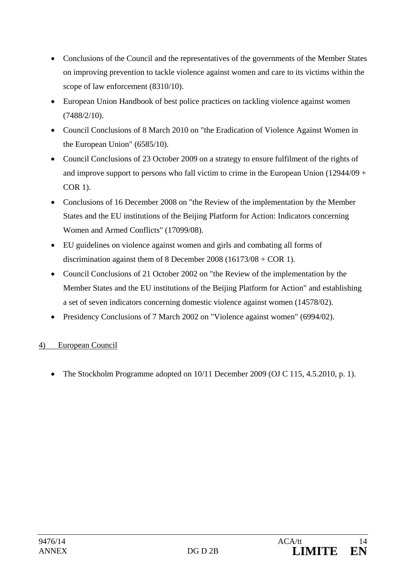- Conclusions of the Council and the representatives of the governments of the Member States on improving prevention to tackle violence against women and care to its victims within the scope of law enforcement (8310/10).
- European Union Handbook of best police practices on tackling violence against women (7488/2/10).
- Council Conclusions of 8 March 2010 on "the Eradication of Violence Against Women in the European Union" (6585/10).
- Council Conclusions of 23 October 2009 on a strategy to ensure fulfilment of the rights of and improve support to persons who fall victim to crime in the European Union (12944/09 + COR 1).
- Conclusions of 16 December 2008 on "the Review of the implementation by the Member States and the EU institutions of the Beijing Platform for Action: Indicators concerning Women and Armed Conflicts" (17099/08).
- EU guidelines on violence against women and girls and combating all forms of discrimination against them of 8 December 2008 (16173/08 + COR 1).
- Council Conclusions of 21 October 2002 on "the Review of the implementation by the Member States and the EU institutions of the Beijing Platform for Action" and establishing a set of seven indicators concerning domestic violence against women (14578/02).
- Presidency Conclusions of 7 March 2002 on "Violence against women" (6994/02).

# 4) European Council

• The Stockholm Programme adopted on 10/11 December 2009 (OJ C 115, 4.5.2010, p. 1).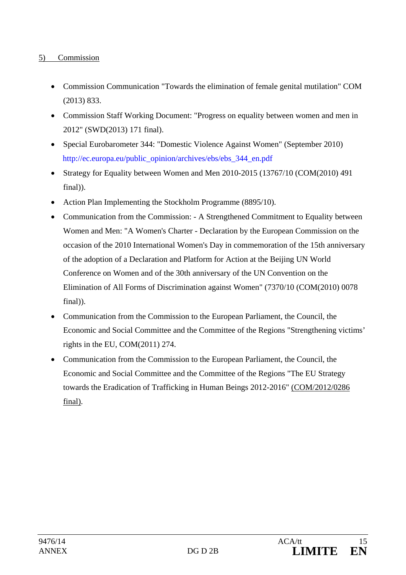### 5) Commission

- Commission Communication "Towards the elimination of female genital mutilation" COM (2013) 833.
- Commission Staff Working Document: "Progress on equality between women and men in 2012" (SWD(2013) 171 final).
- Special Eurobarometer 344: "Domestic Violence Against Women" (September 2010) http://ec.europa.eu/public\_opinion/archives/ebs/ebs\_344\_en.pdf
- Strategy for Equality between Women and Men 2010-2015 (13767/10 (COM(2010) 491 final)).
- Action Plan Implementing the Stockholm Programme (8895/10).
- Communication from the Commission: A Strengthened Commitment to Equality between Women and Men: "A Women's Charter - Declaration by the European Commission on the occasion of the 2010 International Women's Day in commemoration of the 15th anniversary of the adoption of a Declaration and Platform for Action at the Beijing UN World Conference on Women and of the 30th anniversary of the UN Convention on the Elimination of All Forms of Discrimination against Women" (7370/10 (COM(2010) 0078 final)).
- Communication from the Commission to the European Parliament, the Council, the Economic and Social Committee and the Committee of the Regions "Strengthening victims' rights in the EU, COM(2011) 274.
- Communication from the Commission to the European Parliament, the Council, the Economic and Social Committee and the Committee of the Regions "The EU Strategy towards the Eradication of Trafficking in Human Beings 2012-2016" (COM/2012/0286 final).